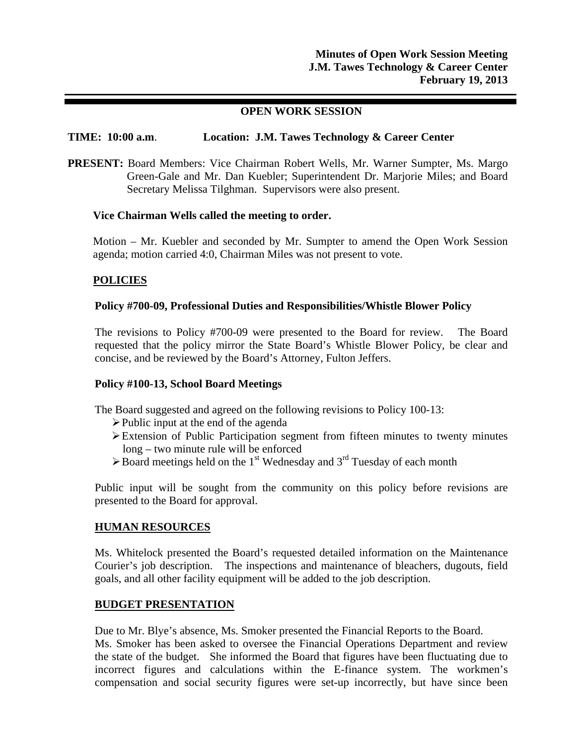## **OPEN WORK SESSION**

## **TIME: 10:00 a.m**. **Location: J.M. Tawes Technology & Career Center**

**PRESENT:** Board Members: Vice Chairman Robert Wells, Mr. Warner Sumpter, Ms. Margo Green-Gale and Mr. Dan Kuebler; Superintendent Dr. Marjorie Miles; and Board Secretary Melissa Tilghman. Supervisors were also present.

#### **Vice Chairman Wells called the meeting to order.**

Motion – Mr. Kuebler and seconded by Mr. Sumpter to amend the Open Work Session agenda; motion carried 4:0, Chairman Miles was not present to vote.

## **POLICIES**

#### **Policy #700-09, Professional Duties and Responsibilities/Whistle Blower Policy**

The revisions to Policy #700-09 were presented to the Board for review. The Board requested that the policy mirror the State Board's Whistle Blower Policy, be clear and concise, and be reviewed by the Board's Attorney, Fulton Jeffers.

## **Policy #100-13, School Board Meetings**

The Board suggested and agreed on the following revisions to Policy 100-13:

- $\triangleright$  Public input at the end of the agenda
- Extension of Public Participation segment from fifteen minutes to twenty minutes long – two minute rule will be enforced
- $\triangleright$  Board meetings held on the 1<sup>st</sup> Wednesday and 3<sup>rd</sup> Tuesday of each month

Public input will be sought from the community on this policy before revisions are presented to the Board for approval.

#### **HUMAN RESOURCES**

Ms. Whitelock presented the Board's requested detailed information on the Maintenance Courier's job description. The inspections and maintenance of bleachers, dugouts, field goals, and all other facility equipment will be added to the job description.

## **BUDGET PRESENTATION**

Due to Mr. Blye's absence, Ms. Smoker presented the Financial Reports to the Board. Ms. Smoker has been asked to oversee the Financial Operations Department and review the state of the budget. She informed the Board that figures have been fluctuating due to incorrect figures and calculations within the E-finance system. The workmen's compensation and social security figures were set-up incorrectly, but have since been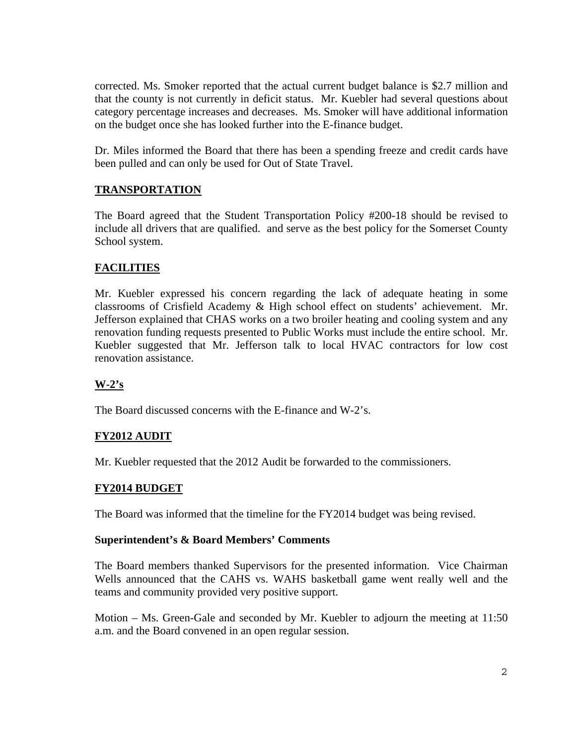corrected. Ms. Smoker reported that the actual current budget balance is \$2.7 million and that the county is not currently in deficit status. Mr. Kuebler had several questions about category percentage increases and decreases. Ms. Smoker will have additional information on the budget once she has looked further into the E-finance budget.

Dr. Miles informed the Board that there has been a spending freeze and credit cards have been pulled and can only be used for Out of State Travel.

# **TRANSPORTATION**

The Board agreed that the Student Transportation Policy #200-18 should be revised to include all drivers that are qualified. and serve as the best policy for the Somerset County School system.

# **FACILITIES**

Mr. Kuebler expressed his concern regarding the lack of adequate heating in some classrooms of Crisfield Academy & High school effect on students' achievement. Mr. Jefferson explained that CHAS works on a two broiler heating and cooling system and any renovation funding requests presented to Public Works must include the entire school. Mr. Kuebler suggested that Mr. Jefferson talk to local HVAC contractors for low cost renovation assistance.

# **W-2's**

The Board discussed concerns with the E-finance and W-2's.

# **FY2012 AUDIT**

Mr. Kuebler requested that the 2012 Audit be forwarded to the commissioners.

# **FY2014 BUDGET**

The Board was informed that the timeline for the FY2014 budget was being revised.

# **Superintendent's & Board Members' Comments**

The Board members thanked Supervisors for the presented information. Vice Chairman Wells announced that the CAHS vs. WAHS basketball game went really well and the teams and community provided very positive support.

Motion – Ms. Green-Gale and seconded by Mr. Kuebler to adjourn the meeting at 11:50 a.m. and the Board convened in an open regular session.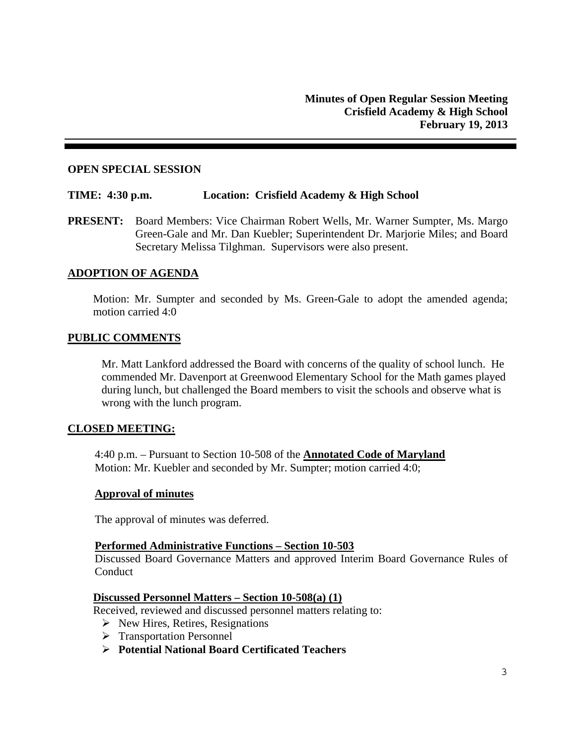#### **OPEN SPECIAL SESSION**

#### **TIME: 4:30 p.m. Location: Crisfield Academy & High School**

**PRESENT:** Board Members: Vice Chairman Robert Wells, Mr. Warner Sumpter, Ms. Margo Green-Gale and Mr. Dan Kuebler; Superintendent Dr. Marjorie Miles; and Board Secretary Melissa Tilghman. Supervisors were also present.

## **ADOPTION OF AGENDA**

Motion: Mr. Sumpter and seconded by Ms. Green-Gale to adopt the amended agenda; motion carried 4:0

#### **PUBLIC COMMENTS**

Mr. Matt Lankford addressed the Board with concerns of the quality of school lunch. He commended Mr. Davenport at Greenwood Elementary School for the Math games played during lunch, but challenged the Board members to visit the schools and observe what is wrong with the lunch program.

#### **CLOSED MEETING:**

4:40 p.m. – Pursuant to Section 10-508 of the **Annotated Code of Maryland**  Motion: Mr. Kuebler and seconded by Mr. Sumpter; motion carried 4:0;

#### **Approval of minutes**

The approval of minutes was deferred.

#### **Performed Administrative Functions – Section 10-503**

Discussed Board Governance Matters and approved Interim Board Governance Rules of **Conduct** 

#### **Discussed Personnel Matters – Section 10-508(a) (1)**

Received, reviewed and discussed personnel matters relating to:

- $\triangleright$  New Hires, Retires, Resignations
- > Transportation Personnel
- **Potential National Board Certificated Teachers**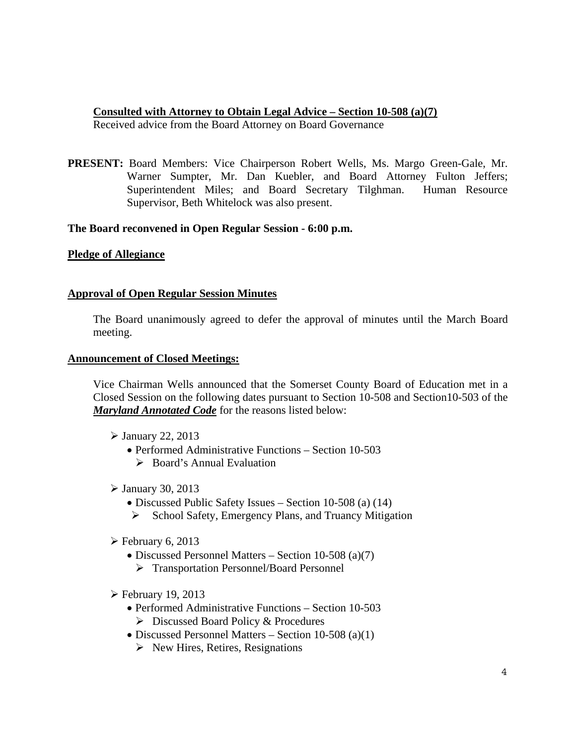## **Consulted with Attorney to Obtain Legal Advice – Section 10-508 (a)(7)**

Received advice from the Board Attorney on Board Governance

**PRESENT:** Board Members: Vice Chairperson Robert Wells, Ms. Margo Green-Gale, Mr. Warner Sumpter, Mr. Dan Kuebler, and Board Attorney Fulton Jeffers; Superintendent Miles; and Board Secretary Tilghman. Human Resource Supervisor, Beth Whitelock was also present.

## **The Board reconvened in Open Regular Session - 6:00 p.m.**

## **Pledge of Allegiance**

## **Approval of Open Regular Session Minutes**

The Board unanimously agreed to defer the approval of minutes until the March Board meeting.

## **Announcement of Closed Meetings:**

Vice Chairman Wells announced that the Somerset County Board of Education met in a Closed Session on the following dates pursuant to Section 10-508 and Section10-503 of the *Maryland Annotated Code* for the reasons listed below:

- $\blacktriangleright$  January 22, 2013
	- Performed Administrative Functions Section 10-503  $\triangleright$  Board's Annual Evaluation
- $\triangleright$  January 30, 2013
	- Discussed Public Safety Issues Section 10-508 (a) (14)
	- $\triangleright$  School Safety, Emergency Plans, and Truancy Mitigation
- $\triangleright$  February 6, 2013
	- Discussed Personnel Matters Section 10-508 (a)(7)
		- Transportation Personnel/Board Personnel
- $\triangleright$  February 19, 2013
	- Performed Administrative Functions Section 10-503 Discussed Board Policy & Procedures
	- Discussed Personnel Matters Section 10-508 (a)(1)
		- $\triangleright$  New Hires, Retires, Resignations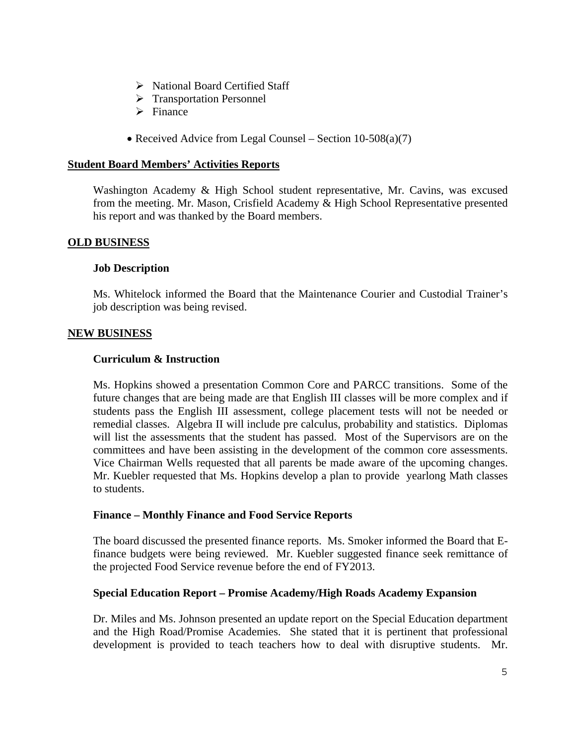- $\triangleright$  National Board Certified Staff
- > Transportation Personnel
- $\triangleright$  Finance
- Received Advice from Legal Counsel Section  $10-508(a)(7)$

## **Student Board Members' Activities Reports**

Washington Academy & High School student representative, Mr. Cavins, was excused from the meeting. Mr. Mason, Crisfield Academy & High School Representative presented his report and was thanked by the Board members.

## **OLD BUSINESS**

#### **Job Description**

Ms. Whitelock informed the Board that the Maintenance Courier and Custodial Trainer's job description was being revised.

## **NEW BUSINESS**

## **Curriculum & Instruction**

Ms. Hopkins showed a presentation Common Core and PARCC transitions. Some of the future changes that are being made are that English III classes will be more complex and if students pass the English III assessment, college placement tests will not be needed or remedial classes. Algebra II will include pre calculus, probability and statistics. Diplomas will list the assessments that the student has passed. Most of the Supervisors are on the committees and have been assisting in the development of the common core assessments. Vice Chairman Wells requested that all parents be made aware of the upcoming changes. Mr. Kuebler requested that Ms. Hopkins develop a plan to provide yearlong Math classes to students.

## **Finance – Monthly Finance and Food Service Reports**

The board discussed the presented finance reports. Ms. Smoker informed the Board that Efinance budgets were being reviewed. Mr. Kuebler suggested finance seek remittance of the projected Food Service revenue before the end of FY2013.

#### **Special Education Report – Promise Academy/High Roads Academy Expansion**

Dr. Miles and Ms. Johnson presented an update report on the Special Education department and the High Road/Promise Academies. She stated that it is pertinent that professional development is provided to teach teachers how to deal with disruptive students. Mr.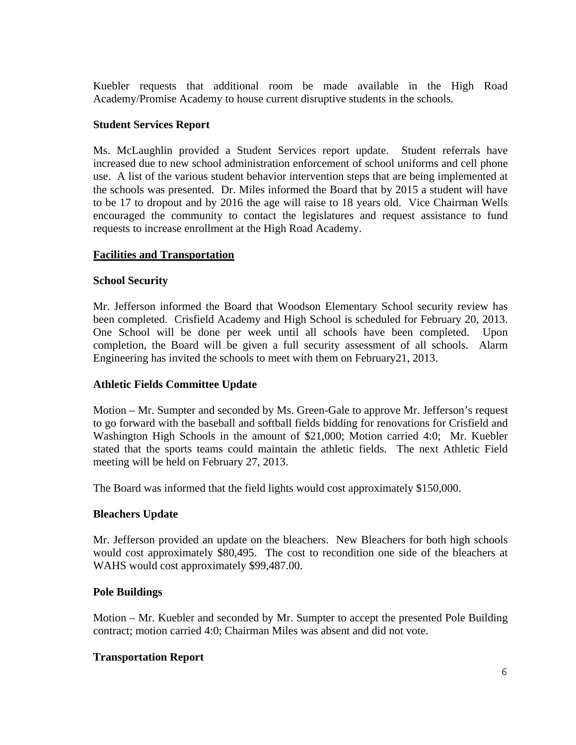Kuebler requests that additional room be made available in the High Road Academy/Promise Academy to house current disruptive students in the schools.

## **Student Services Report**

Ms. McLaughlin provided a Student Services report update. Student referrals have increased due to new school administration enforcement of school uniforms and cell phone use. A list of the various student behavior intervention steps that are being implemented at the schools was presented. Dr. Miles informed the Board that by 2015 a student will have to be 17 to dropout and by 2016 the age will raise to 18 years old. Vice Chairman Wells encouraged the community to contact the legislatures and request assistance to fund requests to increase enrollment at the High Road Academy.

## **Facilities and Transportation**

## **School Security**

Mr. Jefferson informed the Board that Woodson Elementary School security review has been completed. Crisfield Academy and High School is scheduled for February 20, 2013. One School will be done per week until all schools have been completed. Upon completion, the Board will be given a full security assessment of all schools. Alarm Engineering has invited the schools to meet with them on February21, 2013.

## **Athletic Fields Committee Update**

Motion – Mr. Sumpter and seconded by Ms. Green-Gale to approve Mr. Jefferson's request to go forward with the baseball and softball fields bidding for renovations for Crisfield and Washington High Schools in the amount of \$21,000; Motion carried 4:0; Mr. Kuebler stated that the sports teams could maintain the athletic fields. The next Athletic Field meeting will be held on February 27, 2013.

The Board was informed that the field lights would cost approximately \$150,000.

## **Bleachers Update**

Mr. Jefferson provided an update on the bleachers. New Bleachers for both high schools would cost approximately \$80,495. The cost to recondition one side of the bleachers at WAHS would cost approximately \$99,487.00.

## **Pole Buildings**

Motion – Mr. Kuebler and seconded by Mr. Sumpter to accept the presented Pole Building contract; motion carried 4:0; Chairman Miles was absent and did not vote.

## **Transportation Report**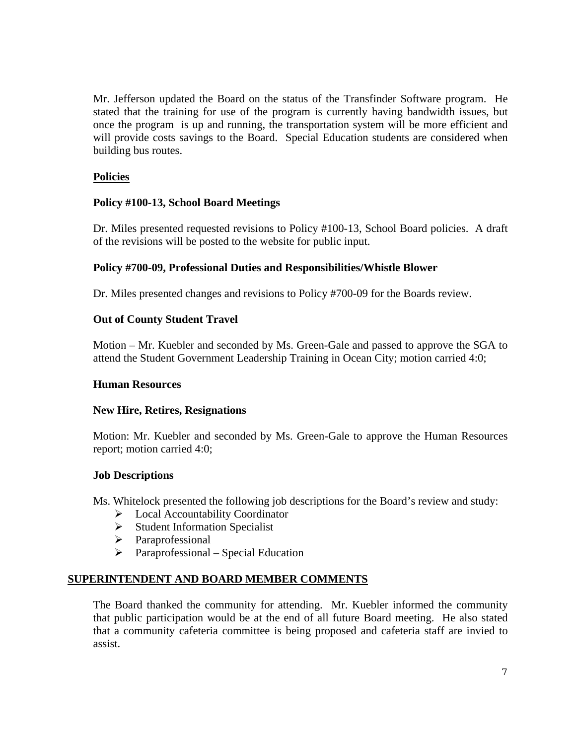Mr. Jefferson updated the Board on the status of the Transfinder Software program. He stated that the training for use of the program is currently having bandwidth issues, but once the program is up and running, the transportation system will be more efficient and will provide costs savings to the Board. Special Education students are considered when building bus routes.

# **Policies**

## **Policy #100-13, School Board Meetings**

Dr. Miles presented requested revisions to Policy #100-13, School Board policies. A draft of the revisions will be posted to the website for public input.

## **Policy #700-09, Professional Duties and Responsibilities/Whistle Blower**

Dr. Miles presented changes and revisions to Policy #700-09 for the Boards review.

## **Out of County Student Travel**

Motion – Mr. Kuebler and seconded by Ms. Green-Gale and passed to approve the SGA to attend the Student Government Leadership Training in Ocean City; motion carried 4:0;

## **Human Resources**

## **New Hire, Retires, Resignations**

Motion: Mr. Kuebler and seconded by Ms. Green-Gale to approve the Human Resources report; motion carried 4:0;

## **Job Descriptions**

Ms. Whitelock presented the following job descriptions for the Board's review and study:

- $\triangleright$  Local Accountability Coordinator
- $\triangleright$  Student Information Specialist
- > Paraprofessional
- $\triangleright$  Paraprofessional Special Education

## **SUPERINTENDENT AND BOARD MEMBER COMMENTS**

The Board thanked the community for attending. Mr. Kuebler informed the community that public participation would be at the end of all future Board meeting. He also stated that a community cafeteria committee is being proposed and cafeteria staff are invied to assist.